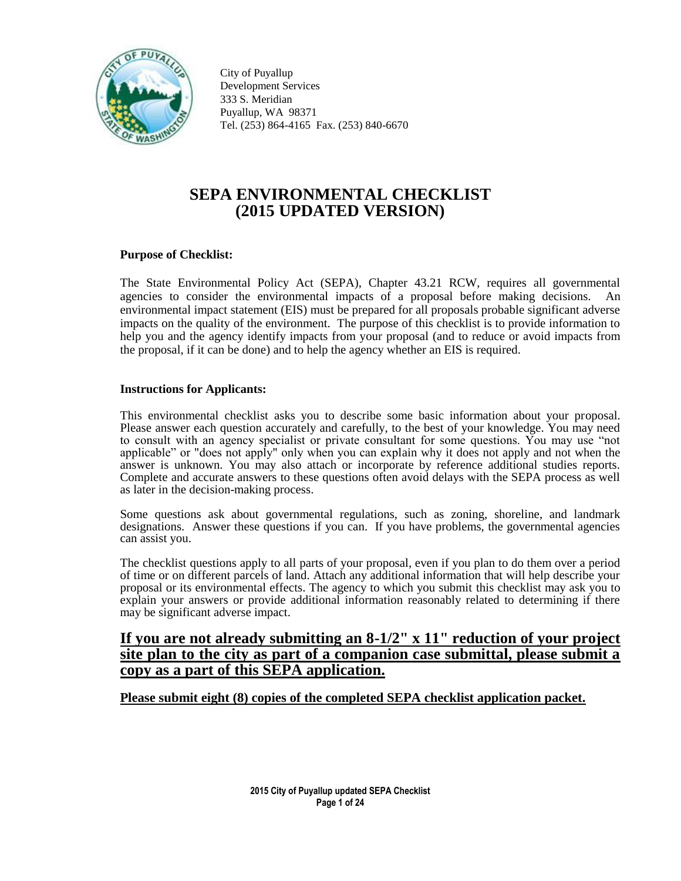

City of Puyallup Development Services 333 S. Meridian Puyallup, WA 98371 Tel. (253) 864-4165 Fax. (253) 840-6670

# **SEPA ENVIRONMENTAL CHECKLIST (2015 UPDATED VERSION)**

#### **Purpose of Checklist:**

The State Environmental Policy Act (SEPA), Chapter 43.21 RCW, requires all governmental agencies to consider the environmental impacts of a proposal before making decisions. environmental impact statement (EIS) must be prepared for all proposals probable significant adverse impacts on the quality of the environment. The purpose of this checklist is to provide information to help you and the agency identify impacts from your proposal (and to reduce or avoid impacts from the proposal, if it can be done) and to help the agency whether an EIS is required.

#### **Instructions for Applicants:**

This environmental checklist asks you to describe some basic information about your proposal. Please answer each question accurately and carefully, to the best of your knowledge. You may need to consult with an agency specialist or private consultant for some questions. You may use "not applicable" or "does not apply" only when you can explain why it does not apply and not when the answer is unknown. You may also attach or incorporate by reference additional studies reports. Complete and accurate answers to these questions often avoid delays with the SEPA process as well as later in the decision-making process.

Some questions ask about governmental regulations, such as zoning, shoreline, and landmark designations. Answer these questions if you can. If you have problems, the governmental agencies can assist you.

The checklist questions apply to all parts of your proposal, even if you plan to do them over a period of time or on different parcels of land. Attach any additional information that will help describe your proposal or its environmental effects. The agency to which you submit this checklist may ask you to explain your answers or provide additional information reasonably related to determining if there may be significant adverse impact.

# **If you are not already submitting an 8-1/2" x 11" reduction of your project site plan to the city as part of a companion case submittal, please submit a copy as a part of this SEPA application.**

## **Please submit eight (8) copies of the completed SEPA checklist application packet.**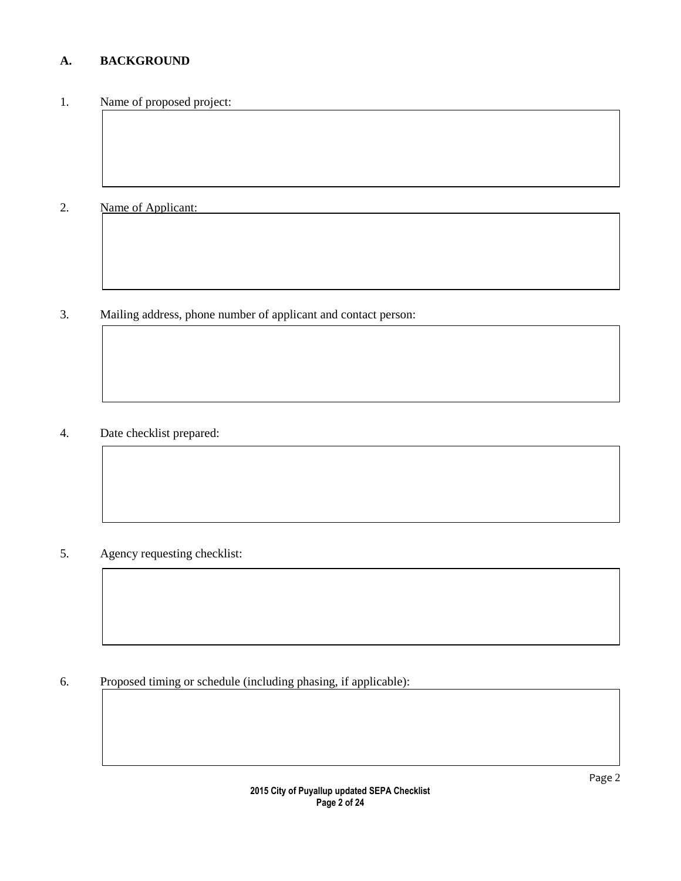# **A. BACKGROUND**

# 1. Name of proposed project:

# 2. Name of Applicant:

# 3. Mailing address, phone number of applicant and contact person:

# 4. Date checklist prepared:

# 5. Agency requesting checklist:

# 6. Proposed timing or schedule (including phasing, if applicable):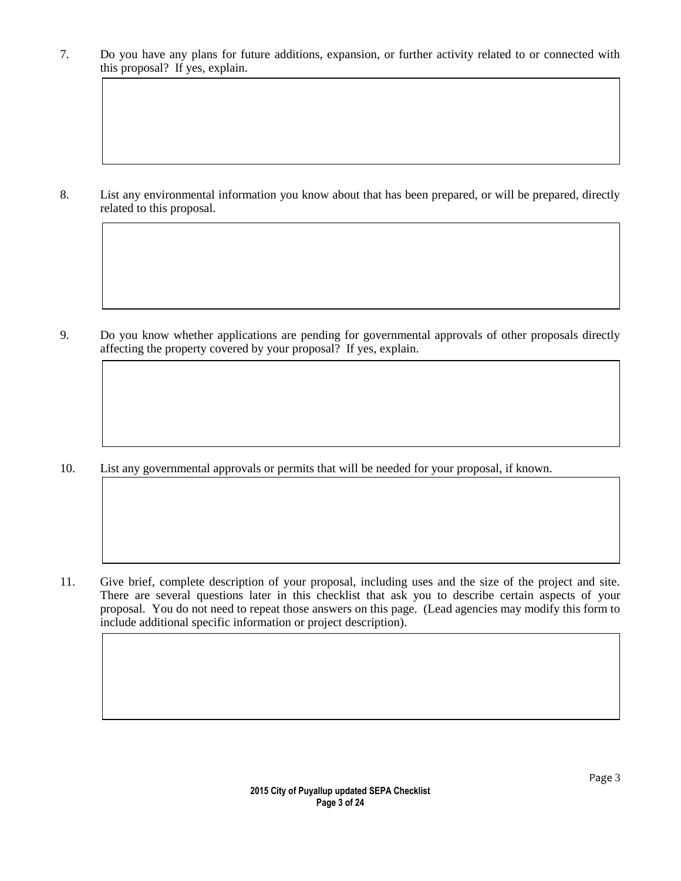7. Do you have any plans for future additions, expansion, or further activity related to or connected with this proposal? If yes, explain.

8. List any environmental information you know about that has been prepared, or will be prepared, directly related to this proposal.

9. Do you know whether applications are pending for governmental approvals of other proposals directly affecting the property covered by your proposal? If yes, explain.

10. List any governmental approvals or permits that will be needed for your proposal, if known.

11. Give brief, complete description of your proposal, including uses and the size of the project and site. There are several questions later in this checklist that ask you to describe certain aspects of your proposal. You do not need to repeat those answers on this page. (Lead agencies may modify this form to include additional specific information or project description).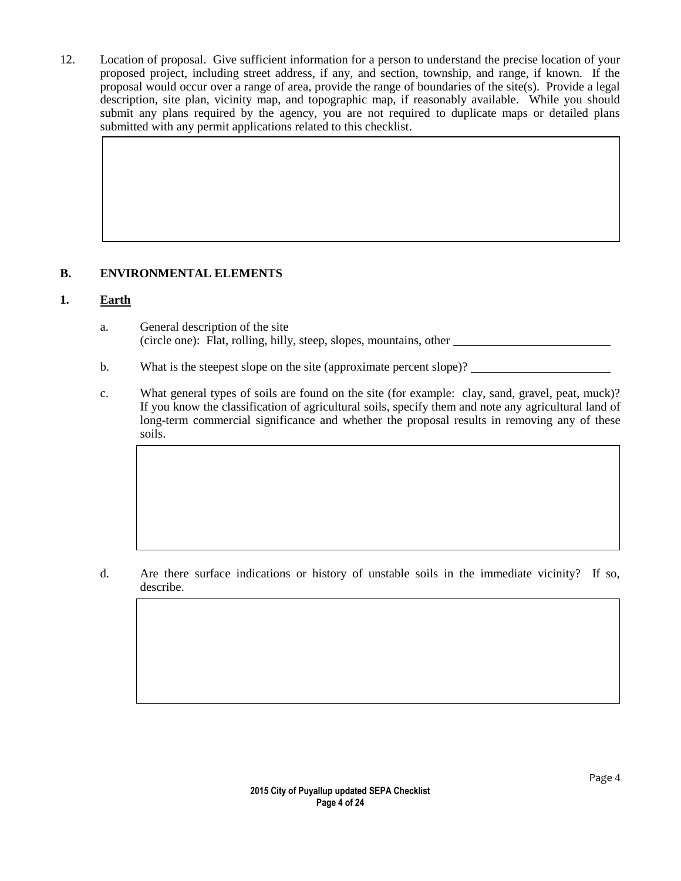12. Location of proposal. Give sufficient information for a person to understand the precise location of your proposed project, including street address, if any, and section, township, and range, if known. If the proposal would occur over a range of area, provide the range of boundaries of the site(s). Provide a legal description, site plan, vicinity map, and topographic map, if reasonably available. While you should submit any plans required by the agency, you are not required to duplicate maps or detailed plans submitted with any permit applications related to this checklist.

# **B. ENVIRONMENTAL ELEMENTS**

# **1. Earth**

- a. General description of the site (circle one): Flat, rolling, hilly, steep, slopes, mountains, other
- b. What is the steepest slope on the site (approximate percent slope)?
- c. What general types of soils are found on the site (for example: clay, sand, gravel, peat, muck)? If you know the classification of agricultural soils, specify them and note any agricultural land of long-term commercial significance and whether the proposal results in removing any of these soils.

d. Are there surface indications or history of unstable soils in the immediate vicinity? If so, describe.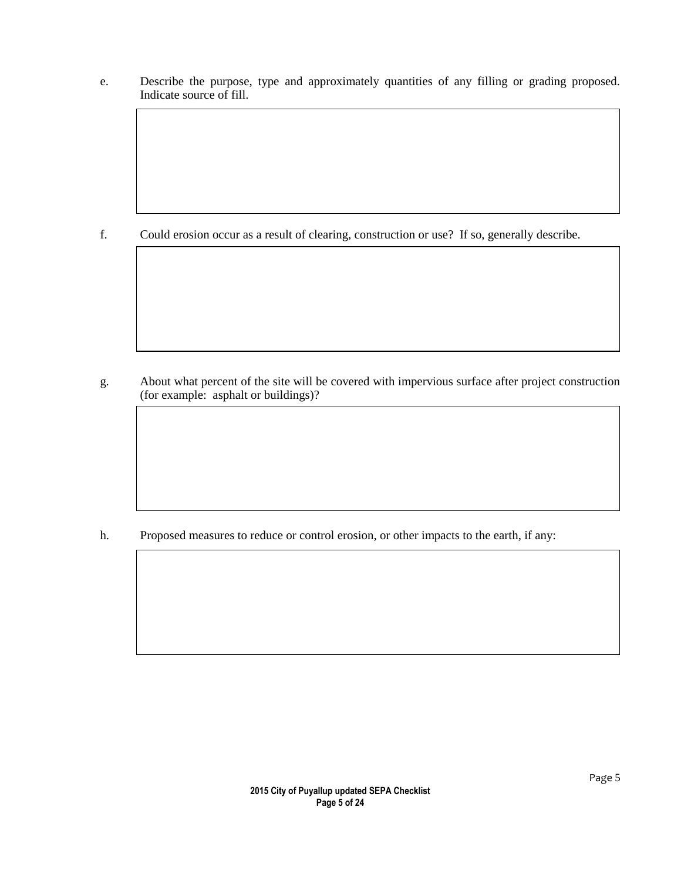e. Describe the purpose, type and approximately quantities of any filling or grading proposed. Indicate source of fill.

f. Could erosion occur as a result of clearing, construction or use? If so, generally describe.

g. About what percent of the site will be covered with impervious surface after project construction (for example: asphalt or buildings)?

h. Proposed measures to reduce or control erosion, or other impacts to the earth, if any: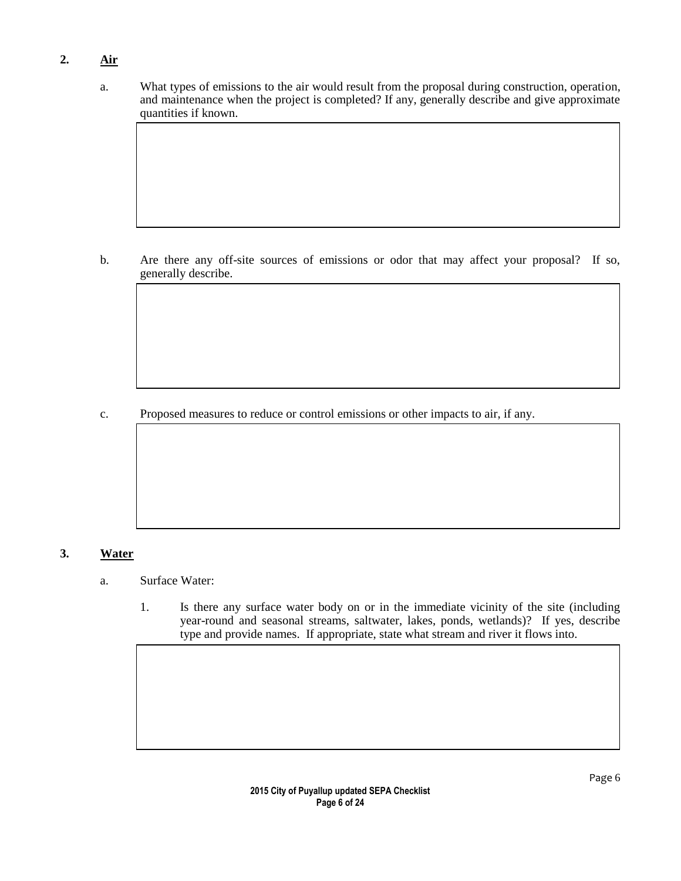# **2. Air**

a. What types of emissions to the air would result from the proposal during construction, operation, and maintenance when the project is completed? If any, generally describe and give approximate quantities if known.

b. Are there any off-site sources of emissions or odor that may affect your proposal? If so, generally describe.

c. Proposed measures to reduce or control emissions or other impacts to air, if any.

## **3. Water**

- a. Surface Water:
	- 1. Is there any surface water body on or in the immediate vicinity of the site (including year-round and seasonal streams, saltwater, lakes, ponds, wetlands)? If yes, describe type and provide names. If appropriate, state what stream and river it flows into.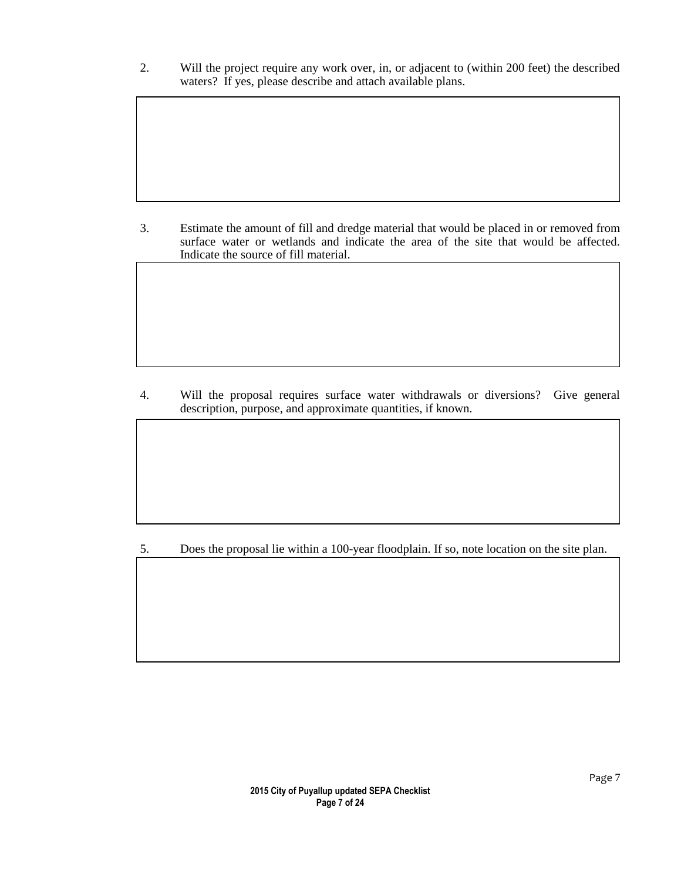2. Will the project require any work over, in, or adjacent to (within 200 feet) the described waters? If yes, please describe and attach available plans.

3. Estimate the amount of fill and dredge material that would be placed in or removed from surface water or wetlands and indicate the area of the site that would be affected. Indicate the source of fill material.

4. Will the proposal requires surface water withdrawals or diversions? Give general description, purpose, and approximate quantities, if known.

5. Does the proposal lie within a 100-year floodplain. If so, note location on the site plan.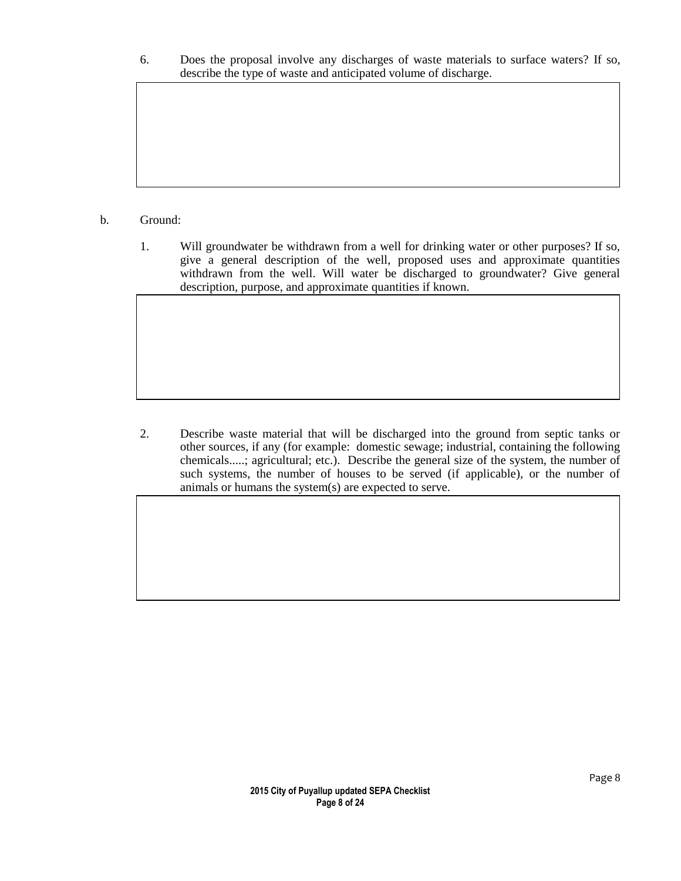6. Does the proposal involve any discharges of waste materials to surface waters? If so, describe the type of waste and anticipated volume of discharge.

#### b. Ground:

1. Will groundwater be withdrawn from a well for drinking water or other purposes? If so, give a general description of the well, proposed uses and approximate quantities withdrawn from the well. Will water be discharged to groundwater? Give general description, purpose, and approximate quantities if known.

2. Describe waste material that will be discharged into the ground from septic tanks or other sources, if any (for example: domestic sewage; industrial, containing the following chemicals.....; agricultural; etc.). Describe the general size of the system, the number of such systems, the number of houses to be served (if applicable), or the number of animals or humans the system(s) are expected to serve.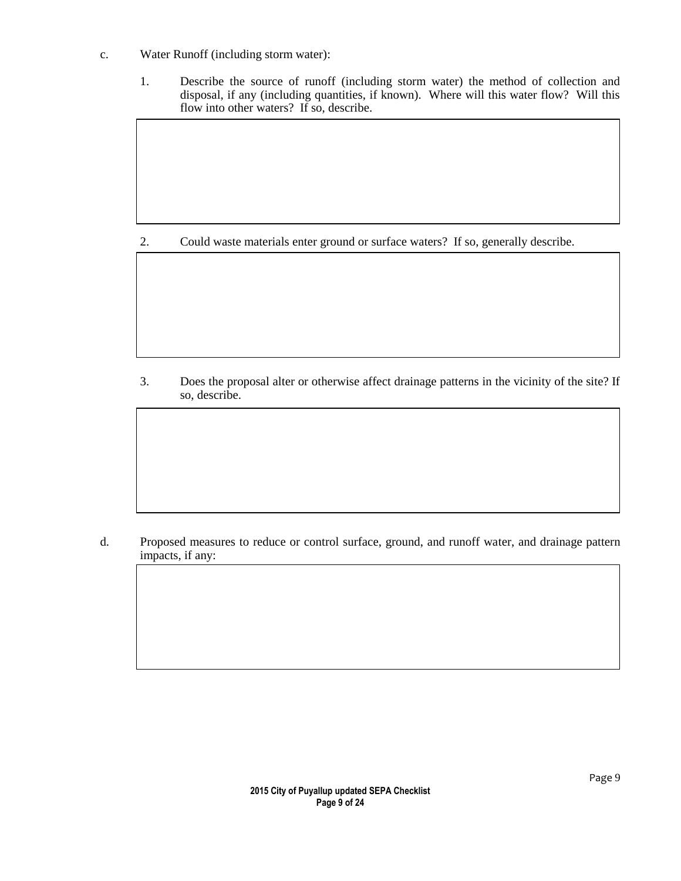- c. Water Runoff (including storm water):
	- 1. Describe the source of runoff (including storm water) the method of collection and disposal, if any (including quantities, if known). Where will this water flow? Will this flow into other waters? If so, describe.

2. Could waste materials enter ground or surface waters? If so, generally describe.

3. Does the proposal alter or otherwise affect drainage patterns in the vicinity of the site? If so, describe.

d. Proposed measures to reduce or control surface, ground, and runoff water, and drainage pattern impacts, if any: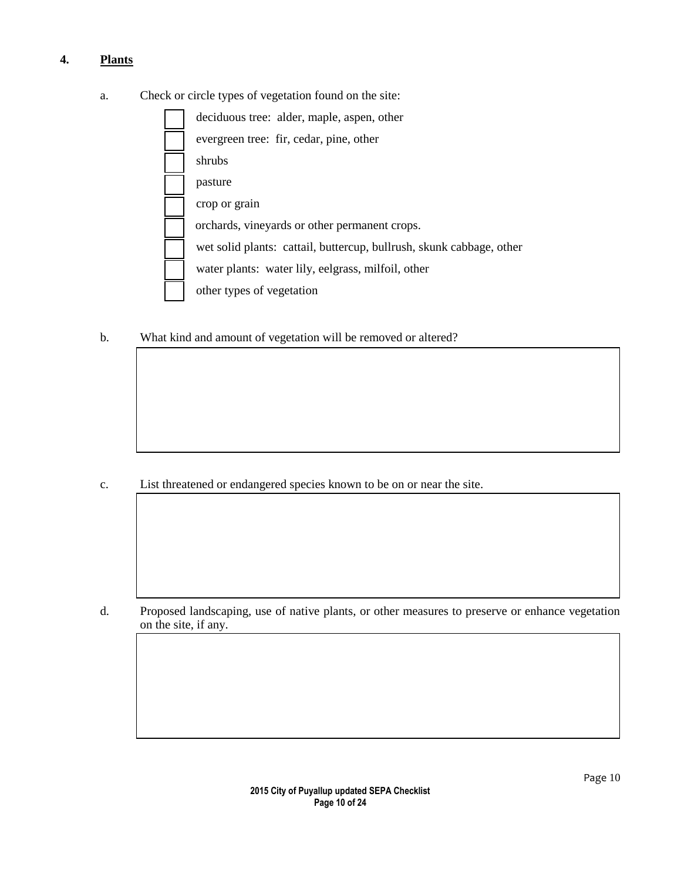# **4. Plants**

a. Check or circle types of vegetation found on the site:

| deciduous tree: alder, maple, aspen, other                           |
|----------------------------------------------------------------------|
| evergreen tree: fir, cedar, pine, other                              |
| shrubs                                                               |
| pasture                                                              |
| crop or grain                                                        |
| orchards, vineyards or other permanent crops.                        |
| wet solid plants: cattail, buttercup, bullrush, skunk cabbage, other |
| water plants: water lily, eelgrass, milfoil, other                   |
| other types of vegetation                                            |

b. What kind and amount of vegetation will be removed or altered?

c. List threatened or endangered species known to be on or near the site.

d. Proposed landscaping, use of native plants, or other measures to preserve or enhance vegetation on the site, if any.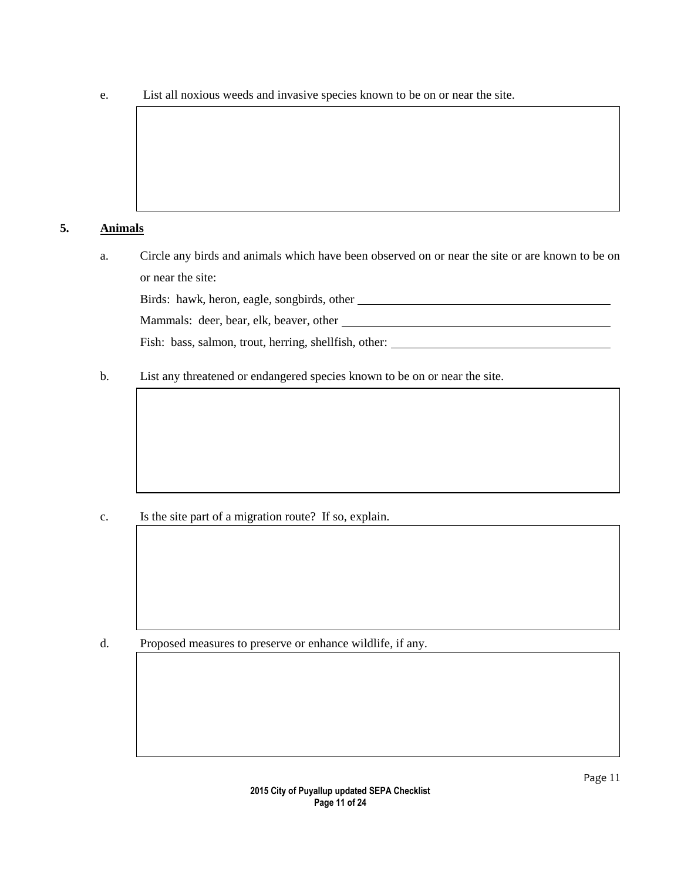e. List all noxious weeds and invasive species known to be on or near the site.

## **5. Animals**

a. Circle any birds and animals which have been observed on or near the site or are known to be on or near the site:

Birds: hawk, heron, eagle, songbirds, other

Mammals: deer, bear, elk, beaver, other

Fish: bass, salmon, trout, herring, shellfish, other:

b. List any threatened or endangered species known to be on or near the site.

c. Is the site part of a migration route? If so, explain.

d. Proposed measures to preserve or enhance wildlife, if any.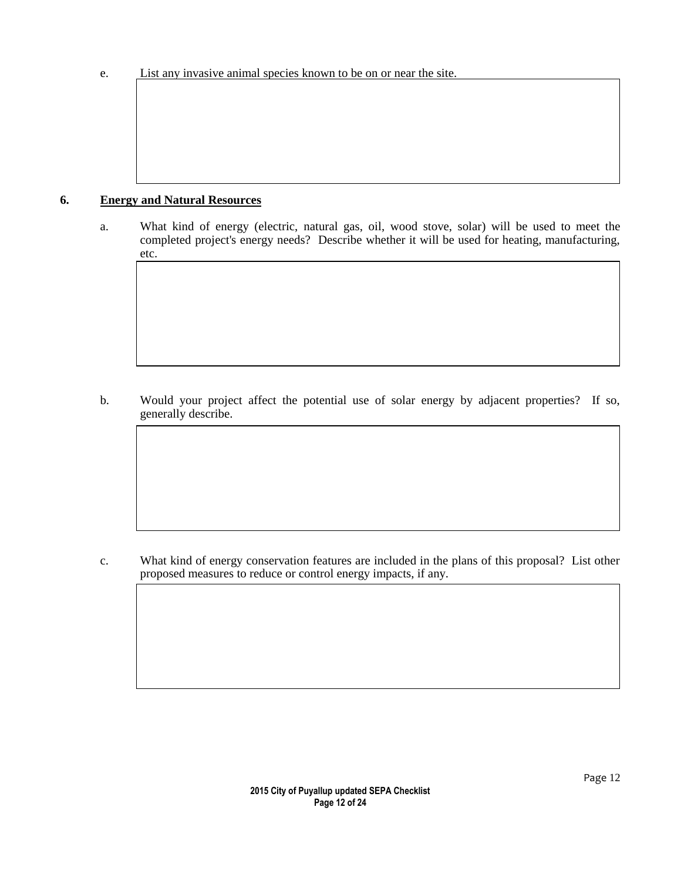## **6. Energy and Natural Resources**

a. What kind of energy (electric, natural gas, oil, wood stove, solar) will be used to meet the completed project's energy needs? Describe whether it will be used for heating, manufacturing, etc.

b. Would your project affect the potential use of solar energy by adjacent properties? If so, generally describe.

c. What kind of energy conservation features are included in the plans of this proposal? List other proposed measures to reduce or control energy impacts, if any.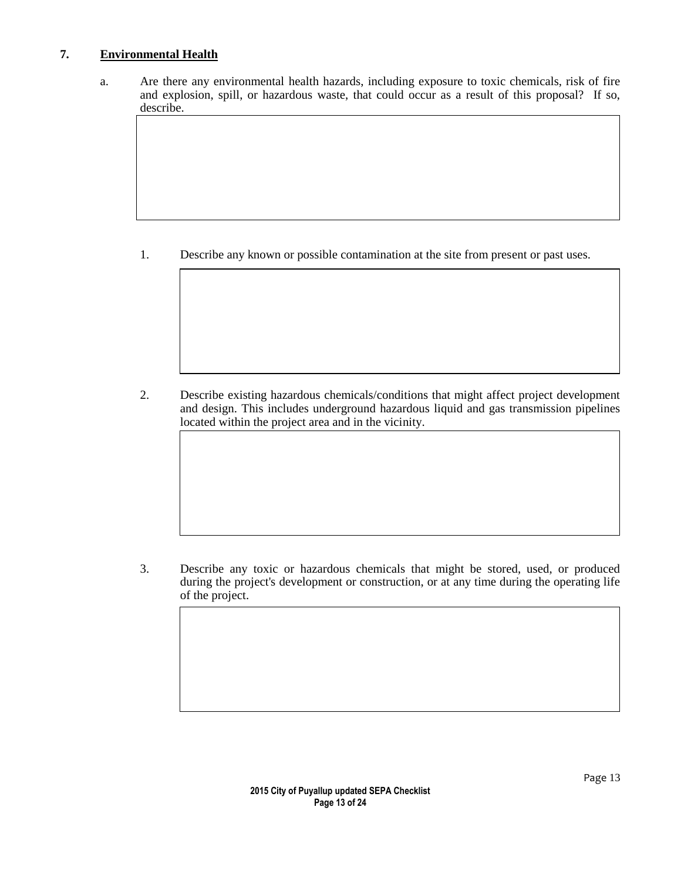## **7. Environmental Health**

a. Are there any environmental health hazards, including exposure to toxic chemicals, risk of fire and explosion, spill, or hazardous waste, that could occur as a result of this proposal? If so, describe.

1. Describe any known or possible contamination at the site from present or past uses.

2. Describe existing hazardous chemicals/conditions that might affect project development and design. This includes underground hazardous liquid and gas transmission pipelines located within the project area and in the vicinity.

3. Describe any toxic or hazardous chemicals that might be stored, used, or produced during the project's development or construction, or at any time during the operating life of the project.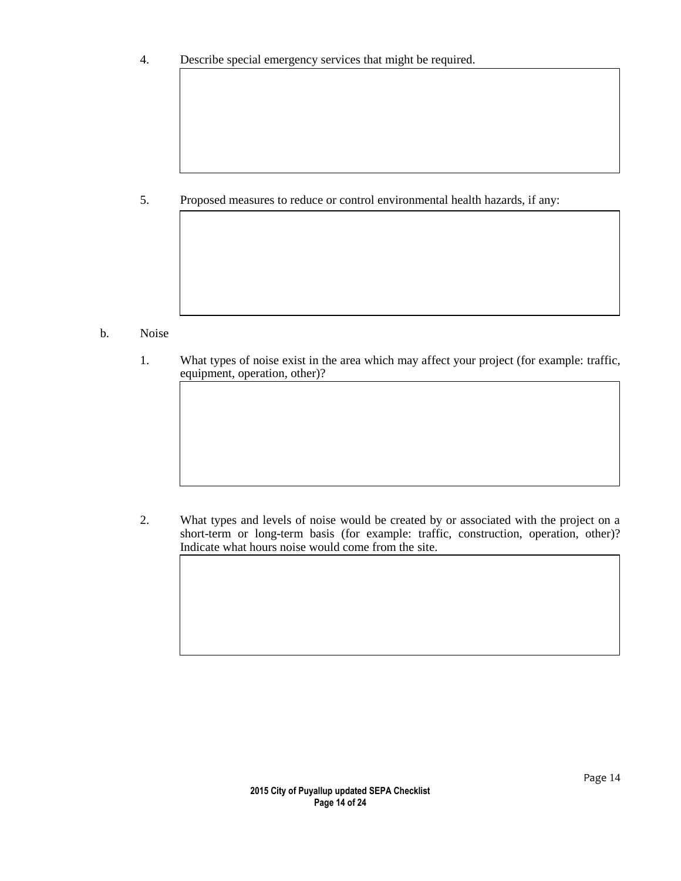4. Describe special emergency services that might be required.

5. Proposed measures to reduce or control environmental health hazards, if any:

- b. Noise
	- 1. What types of noise exist in the area which may affect your project (for example: traffic, equipment, operation, other)?

2. What types and levels of noise would be created by or associated with the project on a short-term or long-term basis (for example: traffic, construction, operation, other)? Indicate what hours noise would come from the site.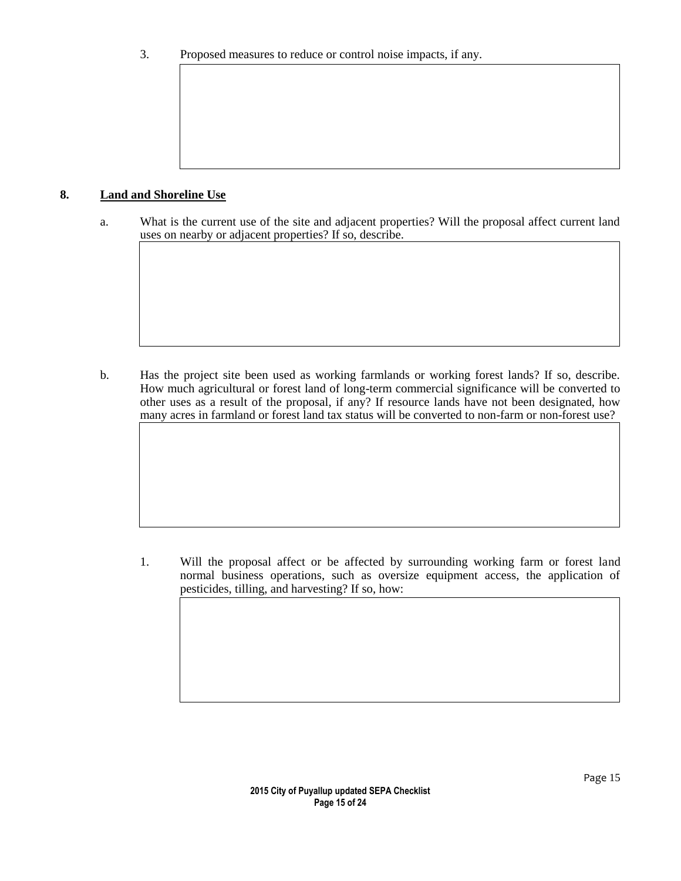#### **8. Land and Shoreline Use**

a. What is the current use of the site and adjacent properties? Will the proposal affect current land uses on nearby or adjacent properties? If so, describe.

b. Has the project site been used as working farmlands or working forest lands? If so, describe. How much agricultural or forest land of long-term commercial significance will be converted to other uses as a result of the proposal, if any? If resource lands have not been designated, how many acres in farmland or forest land tax status will be converted to non-farm or non-forest use?

1. Will the proposal affect or be affected by surrounding working farm or forest land normal business operations, such as oversize equipment access, the application of pesticides, tilling, and harvesting? If so, how: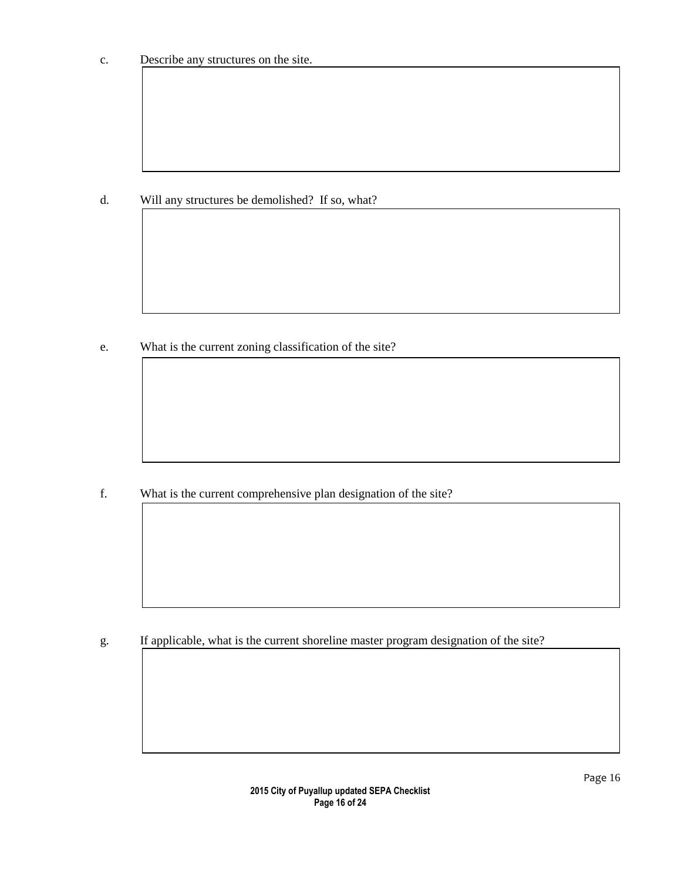d. Will any structures be demolished? If so, what?

e. What is the current zoning classification of the site?

f. What is the current comprehensive plan designation of the site?

g. If applicable, what is the current shoreline master program designation of the site?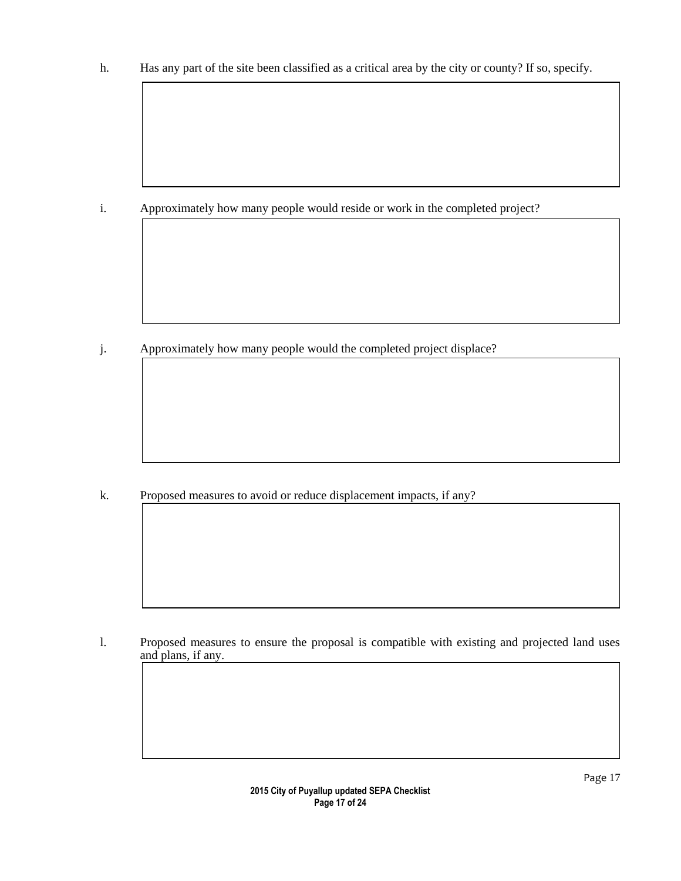h. Has any part of the site been classified as a critical area by the city or county? If so, specify.

i. Approximately how many people would reside or work in the completed project?

j. Approximately how many people would the completed project displace?

k. Proposed measures to avoid or reduce displacement impacts, if any?

l. Proposed measures to ensure the proposal is compatible with existing and projected land uses and plans, if any.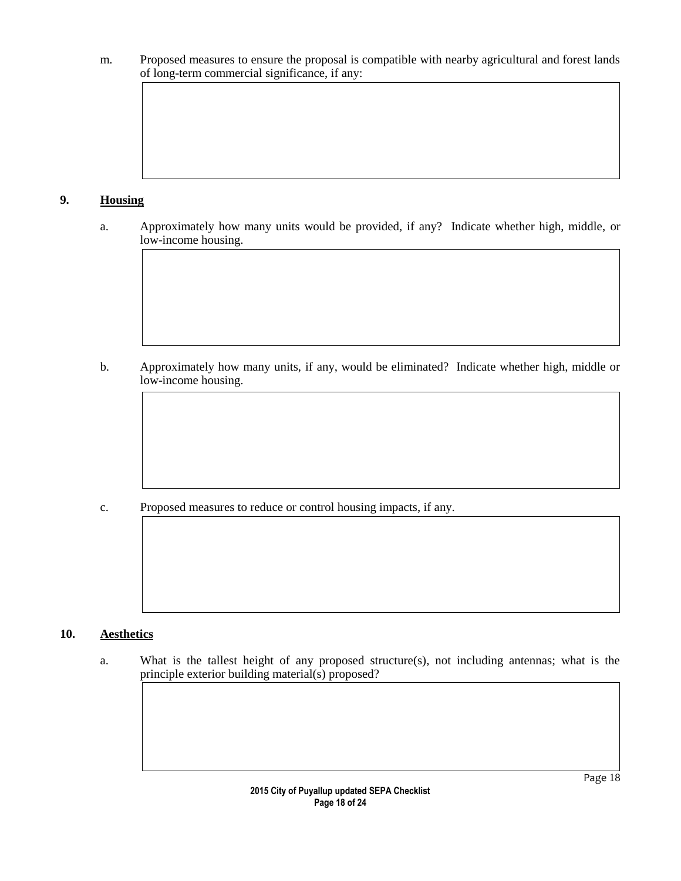m. Proposed measures to ensure the proposal is compatible with nearby agricultural and forest lands of long-term commercial significance, if any:

# **9. Housing**

a. Approximately how many units would be provided, if any? Indicate whether high, middle, or low-income housing.

b. Approximately how many units, if any, would be eliminated? Indicate whether high, middle or low-income housing.

c. Proposed measures to reduce or control housing impacts, if any.

## **10. Aesthetics**

a. What is the tallest height of any proposed structure(s), not including antennas; what is the principle exterior building material(s) proposed?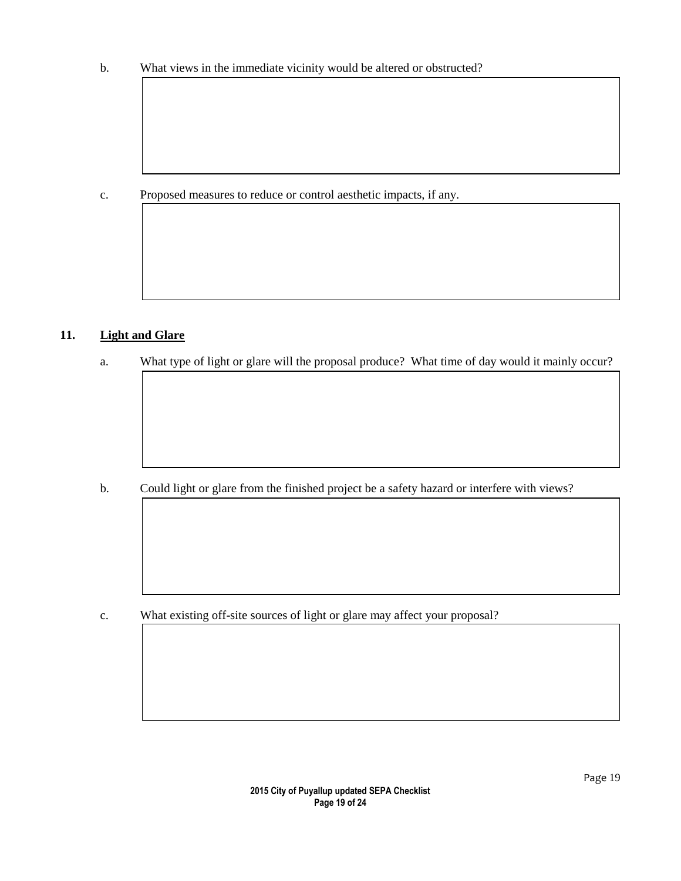b. What views in the immediate vicinity would be altered or obstructed?

c. Proposed measures to reduce or control aesthetic impacts, if any.

# **11. Light and Glare**

a. What type of light or glare will the proposal produce? What time of day would it mainly occur?

b. Could light or glare from the finished project be a safety hazard or interfere with views?

c. What existing off-site sources of light or glare may affect your proposal?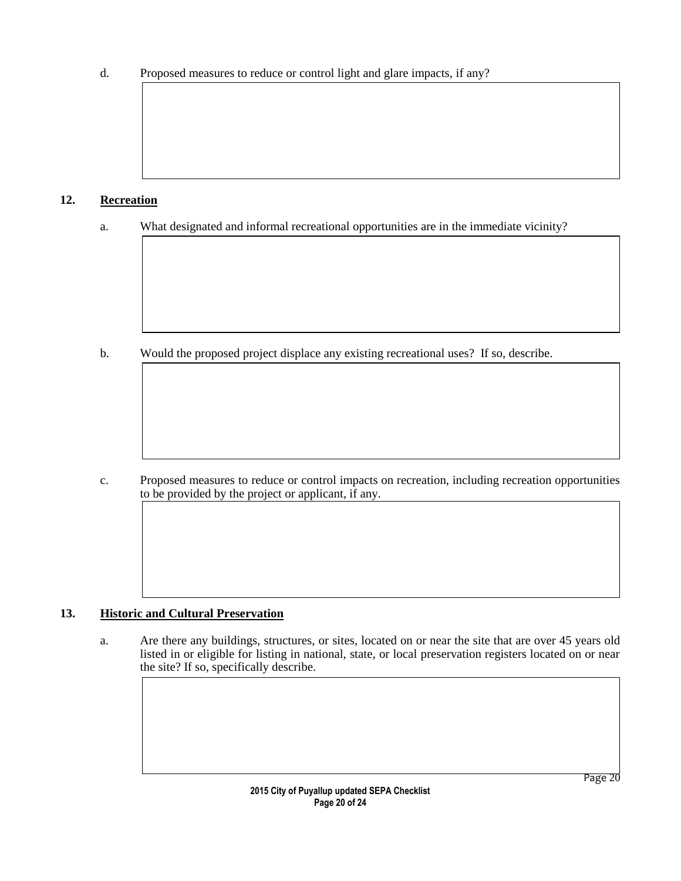d. Proposed measures to reduce or control light and glare impacts, if any?

# **12. Recreation**

a. What designated and informal recreational opportunities are in the immediate vicinity?

b. Would the proposed project displace any existing recreational uses? If so, describe.

c. Proposed measures to reduce or control impacts on recreation, including recreation opportunities to be provided by the project or applicant, if any.

# **13. Historic and Cultural Preservation**

a. Are there any buildings, structures, or sites, located on or near the site that are over 45 years old listed in or eligible for listing in national, state, or local preservation registers located on or near the site? If so, specifically describe.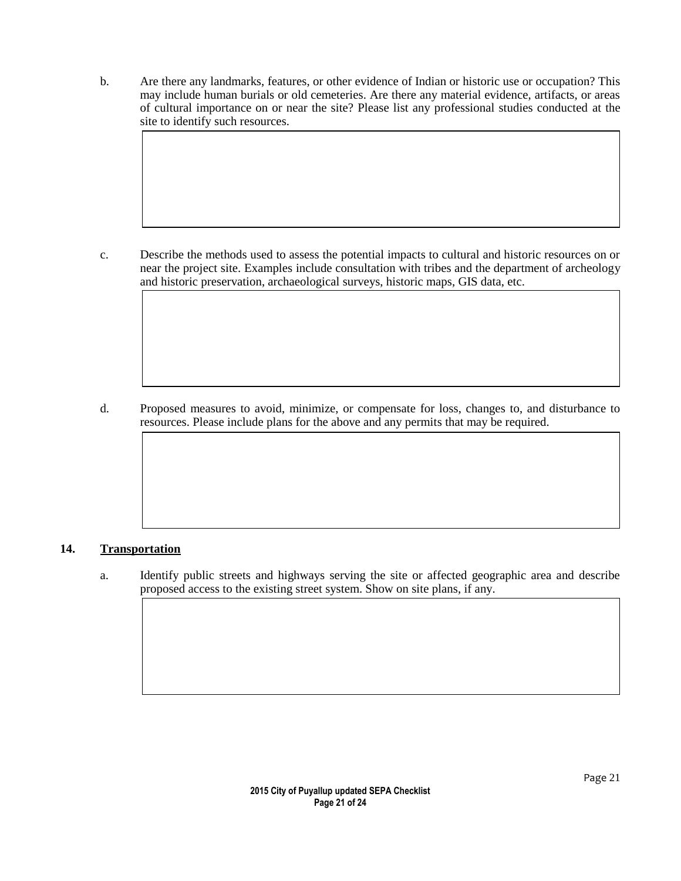b. Are there any landmarks, features, or other evidence of Indian or historic use or occupation? This may include human burials or old cemeteries. Are there any material evidence, artifacts, or areas of cultural importance on or near the site? Please list any professional studies conducted at the site to identify such resources.

c. Describe the methods used to assess the potential impacts to cultural and historic resources on or near the project site. Examples include consultation with tribes and the department of archeology and historic preservation, archaeological surveys, historic maps, GIS data, etc.

d. Proposed measures to avoid, minimize, or compensate for loss, changes to, and disturbance to resources. Please include plans for the above and any permits that may be required.

# **14. Transportation**

a. Identify public streets and highways serving the site or affected geographic area and describe proposed access to the existing street system. Show on site plans, if any.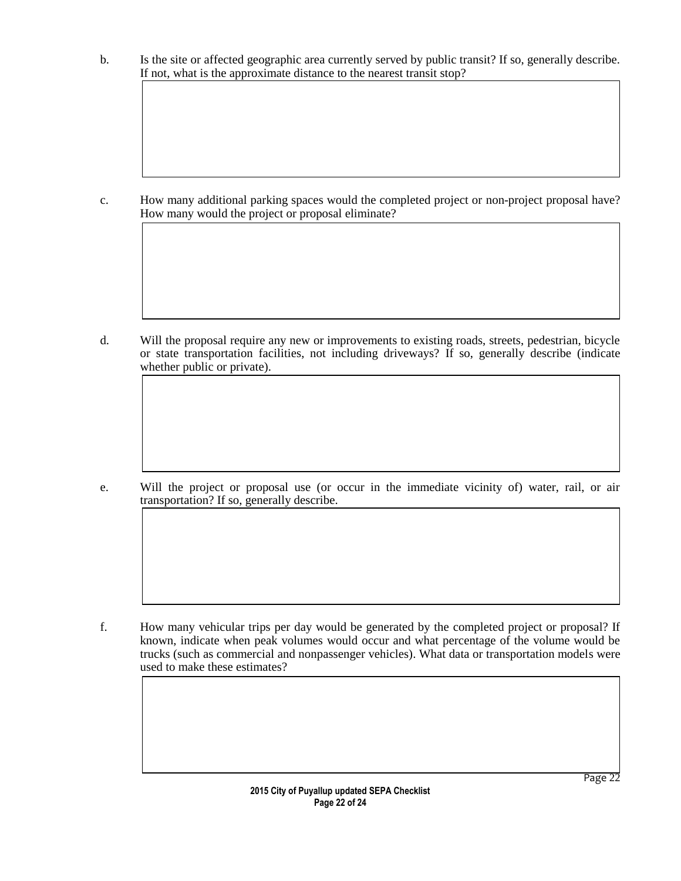b. Is the site or affected geographic area currently served by public transit? If so, generally describe. If not, what is the approximate distance to the nearest transit stop?

c. How many additional parking spaces would the completed project or non-project proposal have? How many would the project or proposal eliminate?

d. Will the proposal require any new or improvements to existing roads, streets, pedestrian, bicycle or state transportation facilities, not including driveways? If so, generally describe (indicate whether public or private).

e. Will the project or proposal use (or occur in the immediate vicinity of) water, rail, or air transportation? If so, generally describe.

f. How many vehicular trips per day would be generated by the completed project or proposal? If known, indicate when peak volumes would occur and what percentage of the volume would be trucks (such as commercial and nonpassenger vehicles). What data or transportation models were used to make these estimates?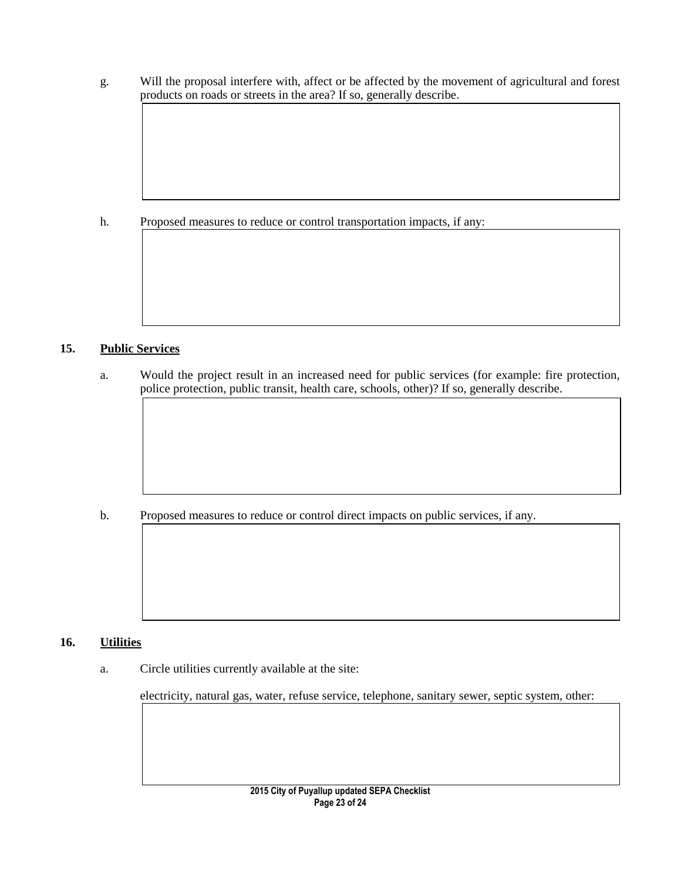g. Will the proposal interfere with, affect or be affected by the movement of agricultural and forest products on roads or streets in the area? If so, generally describe.

# h. Proposed measures to reduce or control transportation impacts, if any:

## **15. Public Services**

a. Would the project result in an increased need for public services (for example: fire protection, police protection, public transit, health care, schools, other)? If so, generally describe.

b. Proposed measures to reduce or control direct impacts on public services, if any.

## **16. Utilities**

a. Circle utilities currently available at the site:

electricity, natural gas, water, refuse service, telephone, sanitary sewer, septic system, other:

Page 23